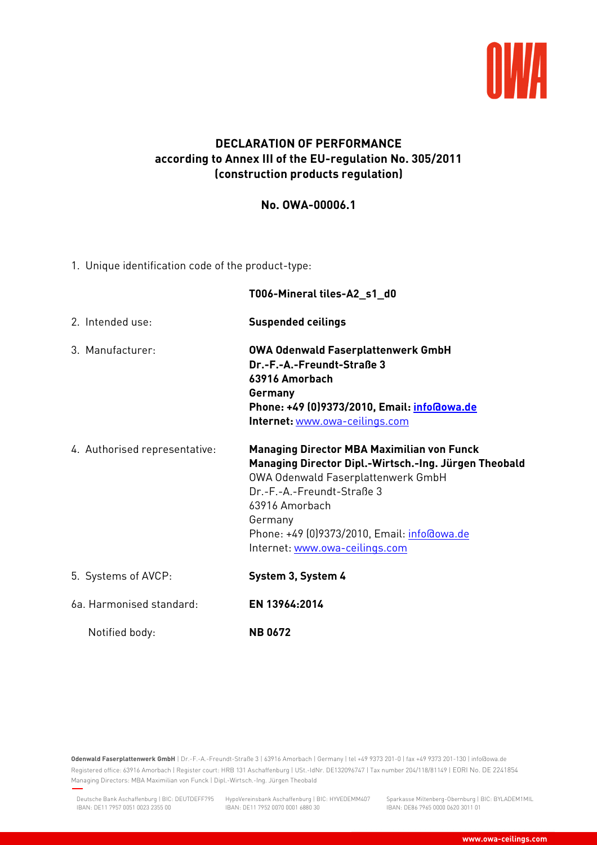

## **DECLARATION OF PERFORMANCE according to Annex III of the EU-regulation No. 305/2011 (construction products regulation)**

## **No. OWA-00006.1**

1. Unique identification code of the product-type:

|                               | T006-Mineral tiles-A2_s1_d0                                                                                                                                                                                                                                                                  |
|-------------------------------|----------------------------------------------------------------------------------------------------------------------------------------------------------------------------------------------------------------------------------------------------------------------------------------------|
| 2. Intended use:              | <b>Suspended ceilings</b>                                                                                                                                                                                                                                                                    |
| 3. Manufacturer:              | <b>OWA Odenwald Faserplattenwerk GmbH</b><br>Dr.-F.-A.-Freundt-Straße 3<br>63916 Amorbach<br>Germany<br>Phone: +49 (0)9373/2010, Email: info@owa.de<br>Internet: www.owa-ceilings.com                                                                                                        |
| 4. Authorised representative: | <b>Managing Director MBA Maximilian von Funck</b><br>Managing Director Dipl.-Wirtsch.-Ing. Jürgen Theobald<br>OWA Odenwald Faserplattenwerk GmbH<br>Dr.-F.-A.-Freundt-Straße 3<br>63916 Amorbach<br>Germany<br>Phone: +49 (0)9373/2010, Email: info@owa.de<br>Internet: www.owa-ceilings.com |
| 5. Systems of AVCP:           | System 3, System 4                                                                                                                                                                                                                                                                           |
| 6a. Harmonised standard:      | EN 13964:2014                                                                                                                                                                                                                                                                                |
| Notified body:                | <b>NB0672</b>                                                                                                                                                                                                                                                                                |

**Odenwald Faserplattenwerk GmbH** | Dr.-F.-A.-Freundt-Straße 3 | 63916 Amorbach | Germany | tel +49 9373 201-0 | fax +49 9373 201-130 | info@owa.de Registered office: 63916 Amorbach | Register court: HRB 131 Aschaffenburg | USt.-IdNr. DE132096747 | Tax number 204/118/81149 | EORI No. DE 2241854 Managing Directors: MBA Maximilian von Funck | Dipl.-Wirtsch.-Ing. Jürgen Theobald

IBAN: DE11 7952 0070 0001 6880 30

Sparkasse Miltenberg-Obernburg | BIC: BYLADEM1MIL IBAN: DE86 7965 0000 0620 3011 01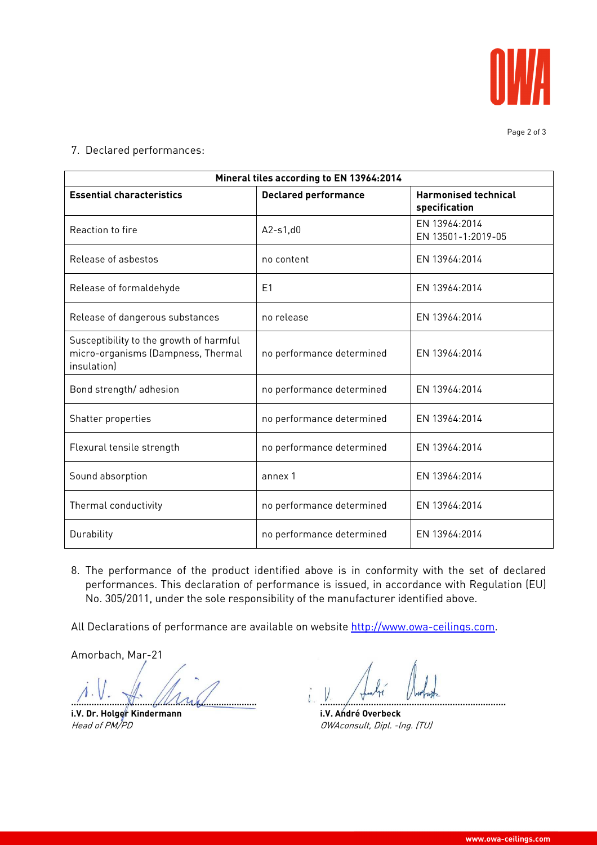

7. Declared performances:

| Mineral tiles according to EN 13964:2014                                                     |                             |                                              |
|----------------------------------------------------------------------------------------------|-----------------------------|----------------------------------------------|
| <b>Essential characteristics</b>                                                             | <b>Declared performance</b> | <b>Harmonised technical</b><br>specification |
| Reaction to fire                                                                             | $A2-s1,d0$                  | EN 13964:2014<br>EN 13501-1:2019-05          |
| Release of asbestos                                                                          | no content                  | FN 13964:2014                                |
| Release of formaldehyde                                                                      | E <sub>1</sub>              | EN 13964:2014                                |
| Release of dangerous substances                                                              | no release                  | EN 13964:2014                                |
| Susceptibility to the growth of harmful<br>micro-organisms (Dampness, Thermal<br>insulationl | no performance determined   | EN 13964:2014                                |
| Bond strength/adhesion                                                                       | no performance determined   | EN 13964:2014                                |
| Shatter properties                                                                           | no performance determined   | EN 13964:2014                                |
| Flexural tensile strength                                                                    | no performance determined   | EN 13964:2014                                |
| Sound absorption                                                                             | annex 1                     | EN 13964:2014                                |
| Thermal conductivity                                                                         | no performance determined   | EN 13964:2014                                |
| Durability                                                                                   | no performance determined   | FN 13964:2014                                |

8. The performance of the product identified above is in conformity with the set of declared performances. This declaration of performance is issued, in accordance with Regulation (EU) No. 305/2011, under the sole responsibility of the manufacturer identified above.

All Declarations of performance are available on website http://www.owa-ceilings.com.

Amorbach, Mar-21

**………………………………………………………………. ……………………………………………………………….** 

**i.V. Dr. Holger Kindermann i.V. André Overbeck i.V. André Overbeck** *Head of PM/PD* 

OWAconsult, Dipl. -lng. (TU)